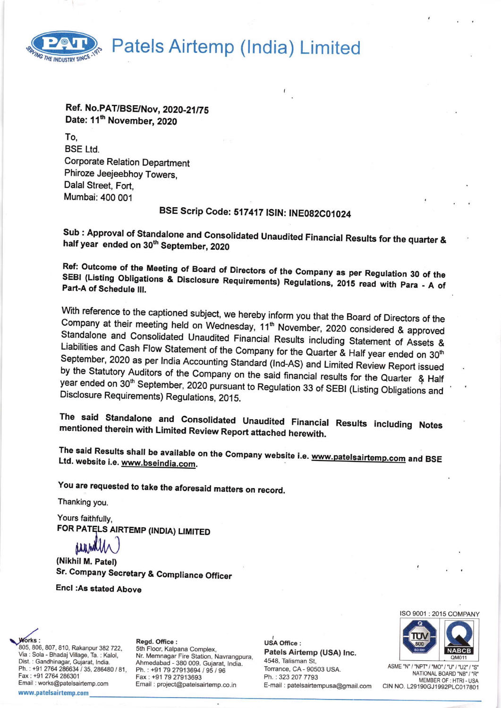

# Patels Airtemp (India) Limited

## Ref. No.PAT/BSE/Nov, 2020-21/75 Date: 11<sup>th</sup> November, 2020

To. **BSE Ltd. Corporate Relation Department** Phiroze Jeejeebhoy Towers, Dalal Street, Fort. Mumbai: 400 001

# BSE Scrip Code: 517417 ISIN: INE082C01024

Sub : Approval of Standalone and Consolidated Unaudited Financial Results for the quarter & half year ended on 30<sup>th</sup> September, 2020

Ref: Outcome of the Meeting of Board of Directors of the Company as per Regulation 30 of the SEBI (Listing Obligations & Disclosure Requirements) Regulations, 2015 read with Para - A of Part-A of Schedule III.

With reference to the captioned subject, we hereby inform you that the Board of Directors of the Company at their meeting held on Wednesday, 11<sup>th</sup> November, 2020 considered & approved Standalone and Consolidated Unaudited Financial Results including Statement of Assets & Liabilities and Cash Flow Statement of the Company for the Quarter & Half year ended on 30<sup>th</sup> September, 2020 as per India Accounting Standard (Ind-AS) and Limited Review Report issued by the Statutory Auditors of the Company on the said financial results for the Quarter & Half year ended on 30<sup>th</sup> September, 2020 pursuant to Regulation 33 of SEBI (Listing Obligations and Disclosure Requirements) Regulations, 2015.

The said Standalone and Consolidated Unaudited Financial Results including Notes mentioned therein with Limited Review Report attached herewith.

The said Results shall be available on the Company website i.e. www.patelsairtemp.com and BSE Ltd. website i.e. www.bseindia.com.

You are requested to take the aforesaid matters on record.

Thanking you.

Yours faithfully, FOR PATELS AIRTEMP (INDIA) LIMITED

**AAAM** 

(Nikhil M. Patel) Sr. Company Secretary & Compliance Officer

**Encl:As stated Above** 

805, 806, 807, 810, Rakanpur 382 722. Via : Sola - Bhadaj Village, Ta. : Kalol, Dist. : Gandhinagar, Gujarat, India. Ph.: +91 2764 286634 / 35, 286480 / 81, Fax: +91 2764 286301 Email: works@patelsairtemp.com www.patelsairtemp.com

Read. Office: 5th Floor, Kalpana Complex, Nr. Memnagar Fire Station, Navrangpura, Ahmedabad - 380 009. Gujarat, India. Ph.: +91 79 27913694 / 95 / 96 Fax: +91 79 27913693 Email: project@patelsairtemp.co.in

**USA Office:** Patels Airtemp (USA) Inc. 4548, Talisman St, Torrance, CA - 90503 USA. Ph.: 323 207 7793 E-mail : patelsairtempusa@gmail.com ISO 9001: 2015 COMPANY



ASME "N" / "NPT" / "MO" / "U" / "U2" / "S" NATIONAL BOARD "NB" / "R" MEMBER OF : HTRI - USA CIN NO. L29190GJ1992PLC017801